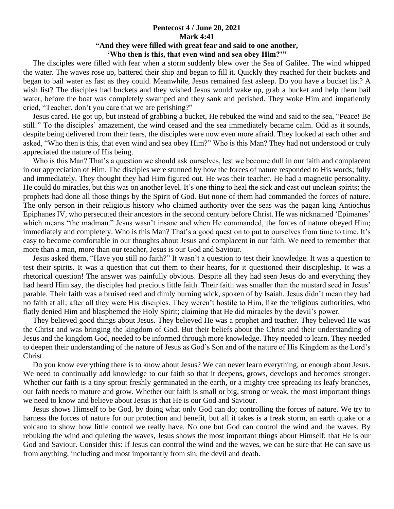## **Pentecost 4 / June 20, 2021 Mark 4:41 "And they were filled with great fear and said to one another, 'Who then is this, that even wind and sea obey Him?'"**

 The disciples were filled with fear when a storm suddenly blew over the Sea of Galilee. The wind whipped the water. The waves rose up, battered their ship and began to fill it. Quickly they reached for their buckets and began to bail water as fast as they could. Meanwhile, Jesus remained fast asleep. Do you have a bucket list? A wish list? The disciples had buckets and they wished Jesus would wake up, grab a bucket and help them bail water, before the boat was completely swamped and they sank and perished. They woke Him and impatiently cried, "Teacher, don't you care that we are perishing?"

 Jesus cared. He got up, but instead of grabbing a bucket, He rebuked the wind and said to the sea, "Peace! Be still!" To the disciples' amazement, the wind ceased and the sea immediately became calm. Odd as it sounds, despite being delivered from their fears, the disciples were now even more afraid. They looked at each other and asked, "Who then is this, that even wind and sea obey Him?" Who is this Man? They had not understood or truly appreciated the nature of His being.

Who is this Man? That's a question we should ask ourselves, lest we become dull in our faith and complacent in our appreciation of Him. The disciples were stunned by how the forces of nature responded to His words; fully and immediately. They thought they had Him figured out. He was their teacher. He had a magnetic personality. He could do miracles, but this was on another level. It's one thing to heal the sick and cast out unclean spirits; the prophets had done all those things by the Spirit of God. But none of them had commanded the forces of nature. The only person in their religious history who claimed authority over the seas was the pagan king Antiochus Epiphanes IV, who persecuted their ancestors in the second century before Christ. He was nicknamed 'Epimanes' which means "the madman." Jesus wasn't insane and when He commanded, the forces of nature obeyed Him; immediately and completely. Who is this Man? That's a good question to put to ourselves from time to time. It's easy to become comfortable in our thoughts about Jesus and complacent in our faith. We need to remember that more than a man, more than our teacher, Jesus is our God and Saviour.

 Jesus asked them, "Have you still no faith?" It wasn't a question to test their knowledge. It was a question to test their spirits. It was a question that cut them to their hearts, for it questioned their discipleship. It was a rhetorical question! The answer was painfully obvious. Despite all they had seen Jesus do and everything they had heard Him say, the disciples had precious little faith. Their faith was smaller than the mustard seed in Jesus' parable. Their faith was a bruised reed and dimly burning wick, spoken of by Isaiah. Jesus didn't mean they had no faith at all; after all they were His disciples. They weren't hostile to Him, like the religious authorities, who flatly denied Him and blasphemed the Holy Spirit; claiming that He did miracles by the devil's power.

 They believed good things about Jesus. They believed He was a prophet and teacher. They believed He was the Christ and was bringing the kingdom of God. But their beliefs about the Christ and their understanding of Jesus and the kingdom God, needed to be informed through more knowledge. They needed to learn. They needed to deepen their understanding of the nature of Jesus as God's Son and of the nature of His Kingdom as the Lord's Christ.

 Do you know everything there is to know about Jesus? We can never learn everything, or enough about Jesus. We need to continually add knowledge to our faith so that it deepens, grows, develops and becomes stronger. Whether our faith is a tiny sprout freshly germinated in the earth, or a mighty tree spreading its leafy branches, our faith needs to mature and grow. Whether our faith is small or big, strong or weak, the most important things we need to know and believe about Jesus is that He is our God and Saviour.

 Jesus shows Himself to be God, by doing what only God can do; controlling the forces of nature. We try to harness the forces of nature for our protection and benefit, but all it takes is a freak storm, an earth quake or a volcano to show how little control we really have. No one but God can control the wind and the waves. By rebuking the wind and quieting the waves, Jesus shows the most important things about Himself; that He is our God and Saviour. Consider this: If Jesus can control the wind and the waves, we can be sure that He can save us from anything, including and most importantly from sin, the devil and death.